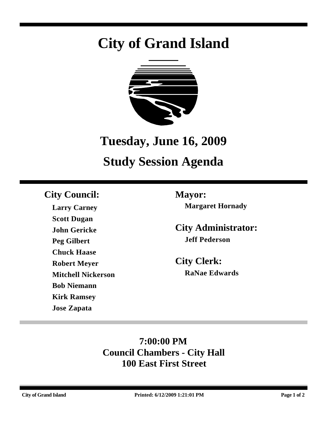# **City of Grand Island**



## **Tuesday, June 16, 2009**

## **Study Session Agenda**

## **City Council: Mayor:**

**Larry Carney Scott Dugan John Gericke Peg Gilbert Chuck Haase Robert Meyer Mitchell Nickerson Bob Niemann Kirk Ramsey Jose Zapata**

**Margaret Hornady**

**City Administrator: Jeff Pederson**

**City Clerk: RaNae Edwards**

## **7:00:00 PM Council Chambers - City Hall 100 East First Street**